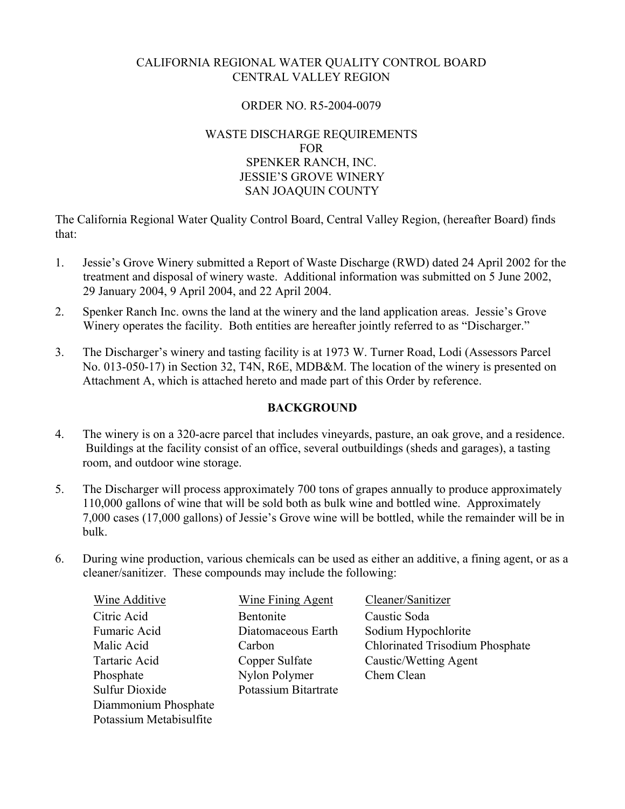# CALIFORNIA REGIONAL WATER QUALITY CONTROL BOARD CENTRAL VALLEY REGION

#### ORDER NO. R5-2004-0079

#### WASTE DISCHARGE REQUIREMENTS FOR SPENKER RANCH, INC. JESSIE'S GROVE WINERY SAN JOAQUIN COUNTY

The California Regional Water Quality Control Board, Central Valley Region, (hereafter Board) finds that:

- 1. Jessie's Grove Winery submitted a Report of Waste Discharge (RWD) dated 24 April 2002 for the treatment and disposal of winery waste. Additional information was submitted on 5 June 2002, 29 January 2004, 9 April 2004, and 22 April 2004.
- 2. Spenker Ranch Inc. owns the land at the winery and the land application areas. Jessie's Grove Winery operates the facility. Both entities are hereafter jointly referred to as "Discharger."
- 3. The Discharger's winery and tasting facility is at 1973 W. Turner Road, Lodi (Assessors Parcel No. 013-050-17) in Section 32, T4N, R6E, MDB&M. The location of the winery is presented on Attachment A, which is attached hereto and made part of this Order by reference.

## **BACKGROUND**

- 4. The winery is on a 320-acre parcel that includes vineyards, pasture, an oak grove, and a residence. Buildings at the facility consist of an office, several outbuildings (sheds and garages), a tasting room, and outdoor wine storage.
- 5. The Discharger will process approximately 700 tons of grapes annually to produce approximately 110,000 gallons of wine that will be sold both as bulk wine and bottled wine. Approximately 7,000 cases (17,000 gallons) of Jessie's Grove wine will be bottled, while the remainder will be in bulk.
- 6. During wine production, various chemicals can be used as either an additive, a fining agent, or as a cleaner/sanitizer. These compounds may include the following:

| <b>Wine Additive</b>    | <b>Wine Fining Agent</b> | Cleaner/Sanitizer                      |
|-------------------------|--------------------------|----------------------------------------|
| Citric Acid             | Bentonite                | Caustic Soda                           |
| Fumaric Acid            | Diatomaceous Earth       | Sodium Hypochlorite                    |
| Malic Acid              | Carbon                   | <b>Chlorinated Trisodium Phosphate</b> |
| Tartaric Acid           | Copper Sulfate           | Caustic/Wetting Agent                  |
| Phosphate               | Nylon Polymer            | Chem Clean                             |
| <b>Sulfur Dioxide</b>   | Potassium Bitartrate     |                                        |
| Diammonium Phosphate    |                          |                                        |
| Potassium Metabisulfite |                          |                                        |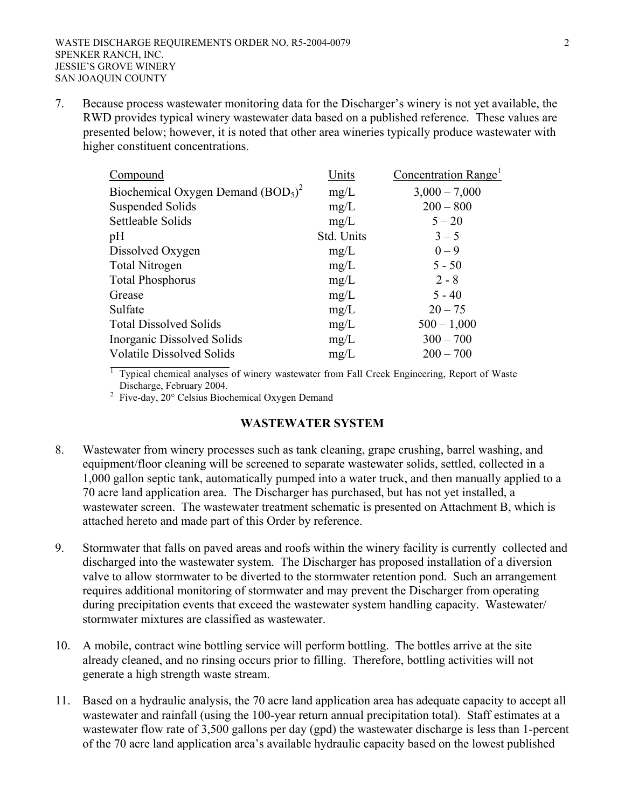7. Because process wastewater monitoring data for the Discharger's winery is not yet available, the RWD provides typical winery wastewater data based on a published reference. These values are presented below; however, it is noted that other area wineries typically produce wastewater with higher constituent concentrations.

| Compound                            | Units      | Concentration Range <sup>1</sup> |
|-------------------------------------|------------|----------------------------------|
| Biochemical Oxygen Demand $(BOD5)2$ | mg/L       | $3,000 - 7,000$                  |
| <b>Suspended Solids</b>             | mg/L       | $200 - 800$                      |
| Settleable Solids                   | mg/L       | $5 - 20$                         |
| pH                                  | Std. Units | $3 - 5$                          |
| Dissolved Oxygen                    | mg/L       | $0 - 9$                          |
| <b>Total Nitrogen</b>               | mg/L       | $5 - 50$                         |
| <b>Total Phosphorus</b>             | mg/L       | $2 - 8$                          |
| Grease                              | mg/L       | $5 - 40$                         |
| Sulfate                             | mg/L       | $20 - 75$                        |
| <b>Total Dissolved Solids</b>       | mg/L       | $500 - 1,000$                    |
| Inorganic Dissolved Solids          | mg/L       | $300 - 700$                      |
| <b>Volatile Dissolved Solids</b>    | mg/L       | $200 - 700$                      |

1 Typical chemical analyses of winery wastewater from Fall Creek Engineering, Report of Waste Discharge, February 2004.

<sup>2</sup> Five-day, 20° Celsius Biochemical Oxygen Demand

#### **WASTEWATER SYSTEM**

- 8. Wastewater from winery processes such as tank cleaning, grape crushing, barrel washing, and equipment/floor cleaning will be screened to separate wastewater solids, settled, collected in a 1,000 gallon septic tank, automatically pumped into a water truck, and then manually applied to a 70 acre land application area. The Discharger has purchased, but has not yet installed, a wastewater screen. The wastewater treatment schematic is presented on Attachment B, which is attached hereto and made part of this Order by reference.
- 9. Stormwater that falls on paved areas and roofs within the winery facility is currently collected and discharged into the wastewater system. The Discharger has proposed installation of a diversion valve to allow stormwater to be diverted to the stormwater retention pond. Such an arrangement requires additional monitoring of stormwater and may prevent the Discharger from operating during precipitation events that exceed the wastewater system handling capacity. Wastewater/ stormwater mixtures are classified as wastewater.
- 10. A mobile, contract wine bottling service will perform bottling. The bottles arrive at the site already cleaned, and no rinsing occurs prior to filling. Therefore, bottling activities will not generate a high strength waste stream.
- 11. Based on a hydraulic analysis, the 70 acre land application area has adequate capacity to accept all wastewater and rainfall (using the 100-year return annual precipitation total). Staff estimates at a wastewater flow rate of 3,500 gallons per day (gpd) the wastewater discharge is less than 1-percent of the 70 acre land application area's available hydraulic capacity based on the lowest published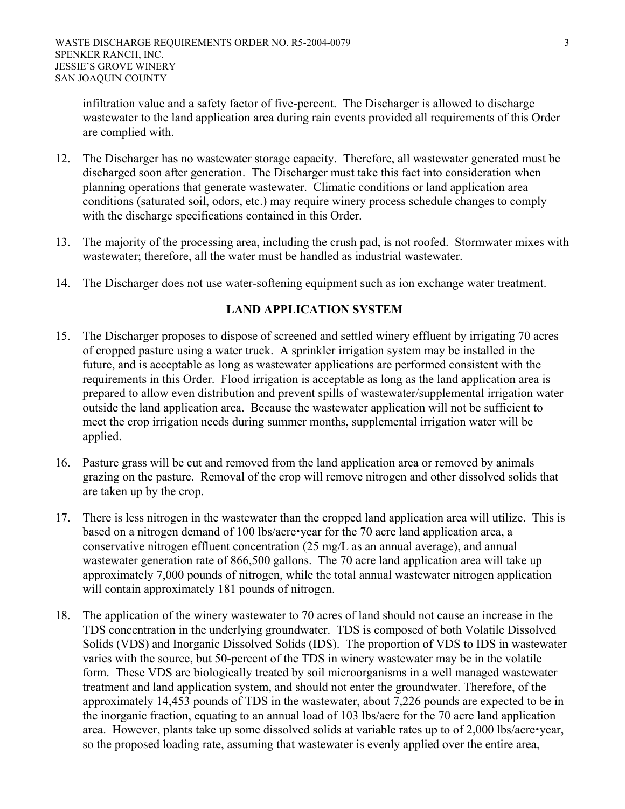infiltration value and a safety factor of five-percent. The Discharger is allowed to discharge wastewater to the land application area during rain events provided all requirements of this Order are complied with.

- 12. The Discharger has no wastewater storage capacity. Therefore, all wastewater generated must be discharged soon after generation. The Discharger must take this fact into consideration when planning operations that generate wastewater. Climatic conditions or land application area conditions (saturated soil, odors, etc.) may require winery process schedule changes to comply with the discharge specifications contained in this Order.
- 13. The majority of the processing area, including the crush pad, is not roofed. Stormwater mixes with wastewater; therefore, all the water must be handled as industrial wastewater.
- 14. The Discharger does not use water-softening equipment such as ion exchange water treatment.

# **LAND APPLICATION SYSTEM**

- 15. The Discharger proposes to dispose of screened and settled winery effluent by irrigating 70 acres of cropped pasture using a water truck. A sprinkler irrigation system may be installed in the future, and is acceptable as long as wastewater applications are performed consistent with the requirements in this Order. Flood irrigation is acceptable as long as the land application area is prepared to allow even distribution and prevent spills of wastewater/supplemental irrigation water outside the land application area. Because the wastewater application will not be sufficient to meet the crop irrigation needs during summer months, supplemental irrigation water will be applied.
- 16. Pasture grass will be cut and removed from the land application area or removed by animals grazing on the pasture. Removal of the crop will remove nitrogen and other dissolved solids that are taken up by the crop.
- 17. There is less nitrogen in the wastewater than the cropped land application area will utilize. This is based on a nitrogen demand of 100 lbs/acre•year for the 70 acre land application area, a conservative nitrogen effluent concentration (25 mg/L as an annual average), and annual wastewater generation rate of 866,500 gallons. The 70 acre land application area will take up approximately 7,000 pounds of nitrogen, while the total annual wastewater nitrogen application will contain approximately 181 pounds of nitrogen.
- 18. The application of the winery wastewater to 70 acres of land should not cause an increase in the TDS concentration in the underlying groundwater. TDS is composed of both Volatile Dissolved Solids (VDS) and Inorganic Dissolved Solids (IDS). The proportion of VDS to IDS in wastewater varies with the source, but 50-percent of the TDS in winery wastewater may be in the volatile form. These VDS are biologically treated by soil microorganisms in a well managed wastewater treatment and land application system, and should not enter the groundwater. Therefore, of the approximately 14,453 pounds of TDS in the wastewater, about 7,226 pounds are expected to be in the inorganic fraction, equating to an annual load of 103 lbs/acre for the 70 acre land application area. However, plants take up some dissolved solids at variable rates up to of 2,000 lbs/acre•year, so the proposed loading rate, assuming that wastewater is evenly applied over the entire area,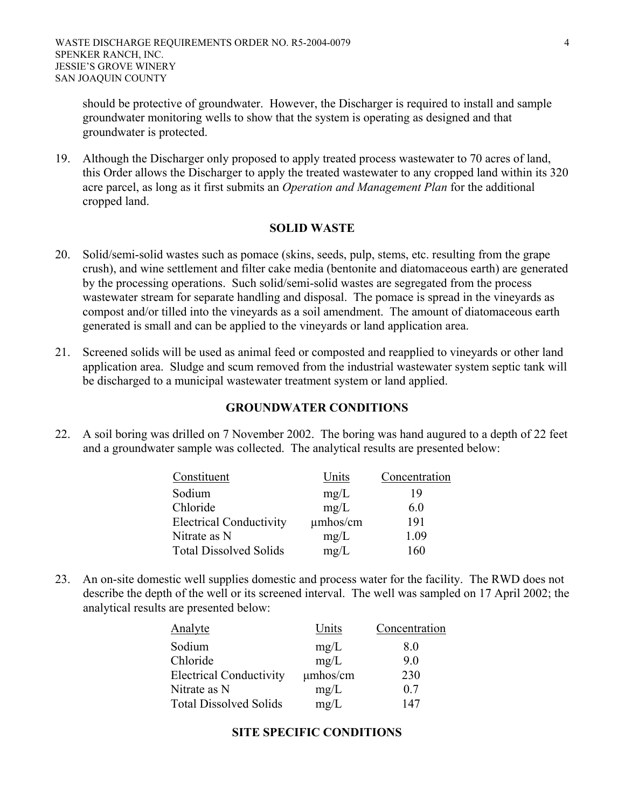should be protective of groundwater. However, the Discharger is required to install and sample groundwater monitoring wells to show that the system is operating as designed and that groundwater is protected.

19. Although the Discharger only proposed to apply treated process wastewater to 70 acres of land, this Order allows the Discharger to apply the treated wastewater to any cropped land within its 320 acre parcel, as long as it first submits an *Operation and Management Plan* for the additional cropped land.

#### **SOLID WASTE**

- 20. Solid/semi-solid wastes such as pomace (skins, seeds, pulp, stems, etc. resulting from the grape crush), and wine settlement and filter cake media (bentonite and diatomaceous earth) are generated by the processing operations. Such solid/semi-solid wastes are segregated from the process wastewater stream for separate handling and disposal. The pomace is spread in the vineyards as compost and/or tilled into the vineyards as a soil amendment. The amount of diatomaceous earth generated is small and can be applied to the vineyards or land application area.
- 21. Screened solids will be used as animal feed or composted and reapplied to vineyards or other land application area. Sludge and scum removed from the industrial wastewater system septic tank will be discharged to a municipal wastewater treatment system or land applied.

#### **GROUNDWATER CONDITIONS**

22. A soil boring was drilled on 7 November 2002. The boring was hand augured to a depth of 22 feet and a groundwater sample was collected. The analytical results are presented below:

| Constituent                    | Units         | Concentration |
|--------------------------------|---------------|---------------|
| Sodium                         | mg/L          | 19            |
| Chloride                       | mg/L          | 6.0           |
| <b>Electrical Conductivity</b> | $\mu$ mhos/cm | 191           |
| Nitrate as N                   | mg/L          | 1.09          |
| <b>Total Dissolved Solids</b>  | mg/L          | 160           |

23. An on-site domestic well supplies domestic and process water for the facility. The RWD does not describe the depth of the well or its screened interval. The well was sampled on 17 April 2002; the analytical results are presented below:

| Analyte                        | Units    | Concentration |
|--------------------------------|----------|---------------|
| Sodium                         | mg/L     | 8.0           |
| Chloride                       | mg/L     | 9.0           |
| <b>Electrical Conductivity</b> | umhos/cm | 230           |
| Nitrate as N                   | mg/L     | 0.7           |
| <b>Total Dissolved Solids</b>  | mg/L     | 147           |

#### **SITE SPECIFIC CONDITIONS**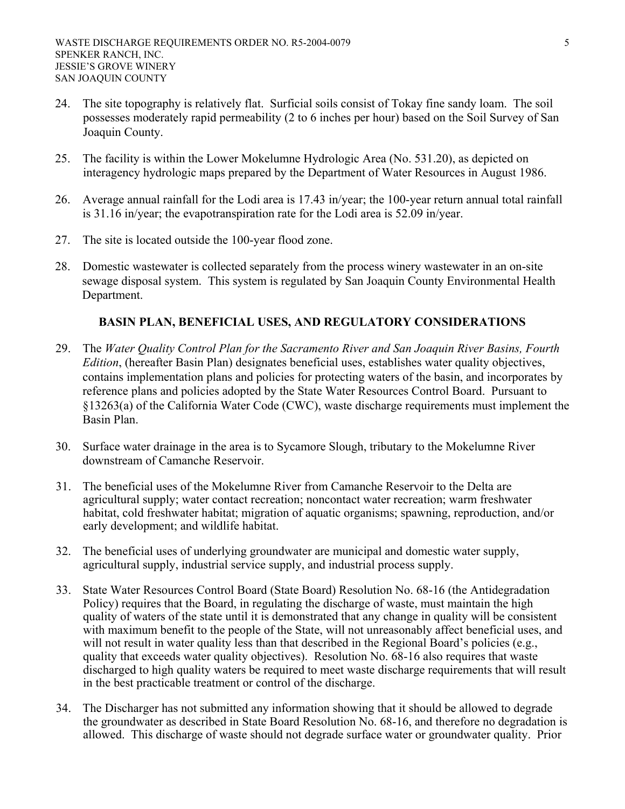- 24. The site topography is relatively flat. Surficial soils consist of Tokay fine sandy loam. The soil possesses moderately rapid permeability (2 to 6 inches per hour) based on the Soil Survey of San Joaquin County.
- 25. The facility is within the Lower Mokelumne Hydrologic Area (No. 531.20), as depicted on interagency hydrologic maps prepared by the Department of Water Resources in August 1986.
- 26. Average annual rainfall for the Lodi area is 17.43 in/year; the 100-year return annual total rainfall is 31.16 in/year; the evapotranspiration rate for the Lodi area is 52.09 in/year.
- 27. The site is located outside the 100-year flood zone.
- 28. Domestic wastewater is collected separately from the process winery wastewater in an on-site sewage disposal system. This system is regulated by San Joaquin County Environmental Health Department.

# **BASIN PLAN, BENEFICIAL USES, AND REGULATORY CONSIDERATIONS**

- 29. The *Water Quality Control Plan for the Sacramento River and San Joaquin River Basins, Fourth Edition*, (hereafter Basin Plan) designates beneficial uses, establishes water quality objectives, contains implementation plans and policies for protecting waters of the basin, and incorporates by reference plans and policies adopted by the State Water Resources Control Board. Pursuant to §13263(a) of the California Water Code (CWC), waste discharge requirements must implement the Basin Plan.
- 30. Surface water drainage in the area is to Sycamore Slough, tributary to the Mokelumne River downstream of Camanche Reservoir.
- 31. The beneficial uses of the Mokelumne River from Camanche Reservoir to the Delta are agricultural supply; water contact recreation; noncontact water recreation; warm freshwater habitat, cold freshwater habitat; migration of aquatic organisms; spawning, reproduction, and/or early development; and wildlife habitat.
- 32. The beneficial uses of underlying groundwater are municipal and domestic water supply, agricultural supply, industrial service supply, and industrial process supply.
- 33. State Water Resources Control Board (State Board) Resolution No. 68-16 (the Antidegradation Policy) requires that the Board, in regulating the discharge of waste, must maintain the high quality of waters of the state until it is demonstrated that any change in quality will be consistent with maximum benefit to the people of the State, will not unreasonably affect beneficial uses, and will not result in water quality less than that described in the Regional Board's policies (e.g., quality that exceeds water quality objectives). Resolution No. 68-16 also requires that waste discharged to high quality waters be required to meet waste discharge requirements that will result in the best practicable treatment or control of the discharge.
- 34. The Discharger has not submitted any information showing that it should be allowed to degrade the groundwater as described in State Board Resolution No. 68-16, and therefore no degradation is allowed. This discharge of waste should not degrade surface water or groundwater quality. Prior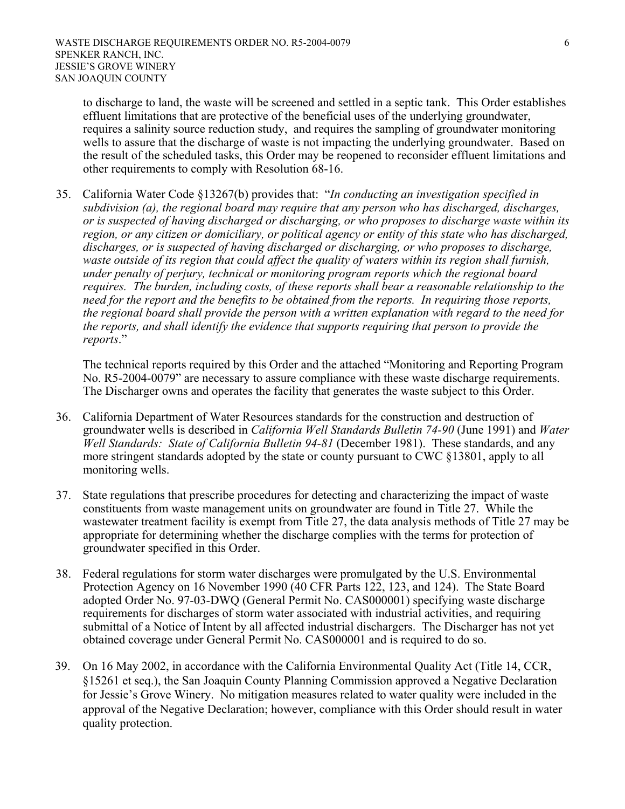to discharge to land, the waste will be screened and settled in a septic tank. This Order establishes effluent limitations that are protective of the beneficial uses of the underlying groundwater, requires a salinity source reduction study, and requires the sampling of groundwater monitoring wells to assure that the discharge of waste is not impacting the underlying groundwater. Based on the result of the scheduled tasks, this Order may be reopened to reconsider effluent limitations and other requirements to comply with Resolution 68-16.

35. California Water Code §13267(b) provides that: "*In conducting an investigation specified in subdivision (a), the regional board may require that any person who has discharged, discharges, or is suspected of having discharged or discharging, or who proposes to discharge waste within its region, or any citizen or domiciliary, or political agency or entity of this state who has discharged, discharges, or is suspected of having discharged or discharging, or who proposes to discharge, waste outside of its region that could affect the quality of waters within its region shall furnish, under penalty of perjury, technical or monitoring program reports which the regional board requires. The burden, including costs, of these reports shall bear a reasonable relationship to the need for the report and the benefits to be obtained from the reports. In requiring those reports, the regional board shall provide the person with a written explanation with regard to the need for the reports, and shall identify the evidence that supports requiring that person to provide the reports*."

The technical reports required by this Order and the attached "Monitoring and Reporting Program No. R5-2004-0079" are necessary to assure compliance with these waste discharge requirements. The Discharger owns and operates the facility that generates the waste subject to this Order.

- 36. California Department of Water Resources standards for the construction and destruction of groundwater wells is described in *California Well Standards Bulletin 74-90* (June 1991) and *Water Well Standards: State of California Bulletin 94-81* (December 1981). These standards, and any more stringent standards adopted by the state or county pursuant to CWC §13801, apply to all monitoring wells.
- 37. State regulations that prescribe procedures for detecting and characterizing the impact of waste constituents from waste management units on groundwater are found in Title 27. While the wastewater treatment facility is exempt from Title 27, the data analysis methods of Title 27 may be appropriate for determining whether the discharge complies with the terms for protection of groundwater specified in this Order.
- 38. Federal regulations for storm water discharges were promulgated by the U.S. Environmental Protection Agency on 16 November 1990 (40 CFR Parts 122, 123, and 124). The State Board adopted Order No. 97-03-DWQ (General Permit No. CAS000001) specifying waste discharge requirements for discharges of storm water associated with industrial activities, and requiring submittal of a Notice of Intent by all affected industrial dischargers. The Discharger has not yet obtained coverage under General Permit No. CAS000001 and is required to do so.
- 39. On 16 May 2002, in accordance with the California Environmental Quality Act (Title 14, CCR, §15261 et seq.), the San Joaquin County Planning Commission approved a Negative Declaration for Jessie's Grove Winery. No mitigation measures related to water quality were included in the approval of the Negative Declaration; however, compliance with this Order should result in water quality protection.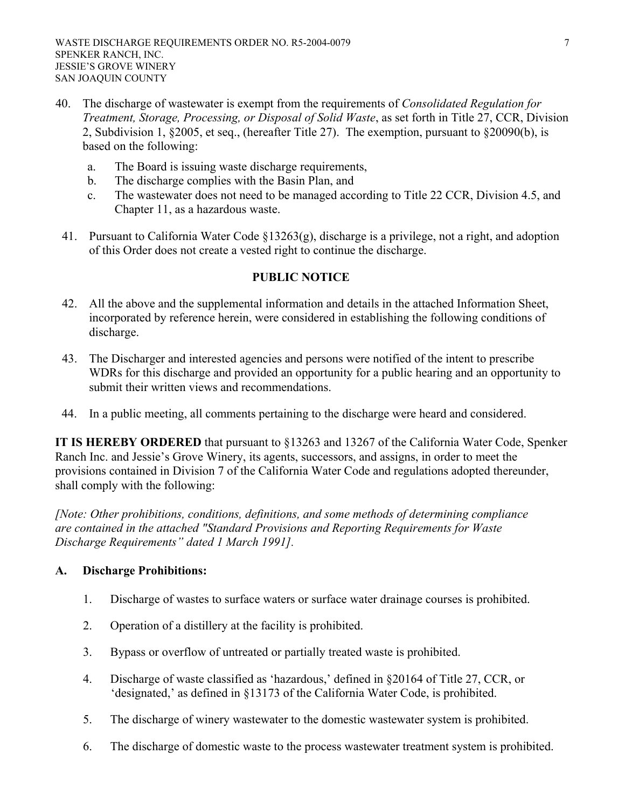- 40. The discharge of wastewater is exempt from the requirements of *Consolidated Regulation for Treatment, Storage, Processing, or Disposal of Solid Waste*, as set forth in Title 27, CCR, Division 2, Subdivision 1, §2005, et seq., (hereafter Title 27). The exemption, pursuant to §20090(b), is based on the following:
	- a. The Board is issuing waste discharge requirements,
	- b. The discharge complies with the Basin Plan, and
	- c. The wastewater does not need to be managed according to Title 22 CCR, Division 4.5, and Chapter 11, as a hazardous waste.
- 41. Pursuant to California Water Code §13263(g), discharge is a privilege, not a right, and adoption of this Order does not create a vested right to continue the discharge.

#### **PUBLIC NOTICE**

- 42. All the above and the supplemental information and details in the attached Information Sheet, incorporated by reference herein, were considered in establishing the following conditions of discharge.
- 43. The Discharger and interested agencies and persons were notified of the intent to prescribe WDRs for this discharge and provided an opportunity for a public hearing and an opportunity to submit their written views and recommendations.
- 44. In a public meeting, all comments pertaining to the discharge were heard and considered.

**IT IS HEREBY ORDERED** that pursuant to §13263 and 13267 of the California Water Code, Spenker Ranch Inc. and Jessie's Grove Winery, its agents, successors, and assigns, in order to meet the provisions contained in Division 7 of the California Water Code and regulations adopted thereunder, shall comply with the following:

*[Note: Other prohibitions, conditions, definitions, and some methods of determining compliance are contained in the attached "Standard Provisions and Reporting Requirements for Waste Discharge Requirements" dated 1 March 1991].* 

# **A. Discharge Prohibitions:**

- 1. Discharge of wastes to surface waters or surface water drainage courses is prohibited.
- 2. Operation of a distillery at the facility is prohibited.
- 3. Bypass or overflow of untreated or partially treated waste is prohibited.
- 4. Discharge of waste classified as 'hazardous,' defined in §20164 of Title 27, CCR, or 'designated,' as defined in §13173 of the California Water Code, is prohibited.
- 5. The discharge of winery wastewater to the domestic wastewater system is prohibited.
- 6. The discharge of domestic waste to the process wastewater treatment system is prohibited.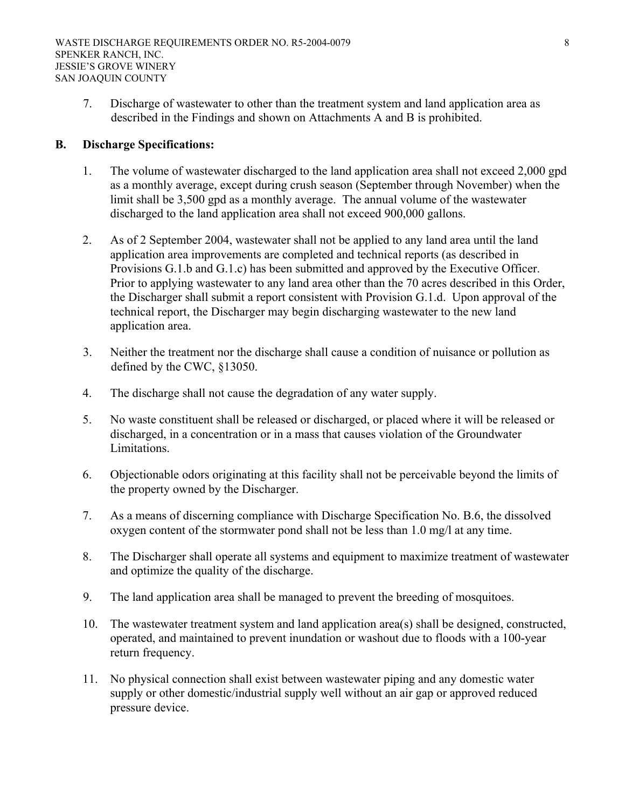7. Discharge of wastewater to other than the treatment system and land application area as described in the Findings and shown on Attachments A and B is prohibited.

#### **B. Discharge Specifications:**

- 1. The volume of wastewater discharged to the land application area shall not exceed 2,000 gpd as a monthly average, except during crush season (September through November) when the limit shall be 3,500 gpd as a monthly average. The annual volume of the wastewater discharged to the land application area shall not exceed 900,000 gallons.
- 2. As of 2 September 2004, wastewater shall not be applied to any land area until the land application area improvements are completed and technical reports (as described in Provisions G.1.b and G.1.c) has been submitted and approved by the Executive Officer. Prior to applying wastewater to any land area other than the 70 acres described in this Order, the Discharger shall submit a report consistent with Provision G.1.d. Upon approval of the technical report, the Discharger may begin discharging wastewater to the new land application area.
- 3. Neither the treatment nor the discharge shall cause a condition of nuisance or pollution as defined by the CWC, §13050.
- 4. The discharge shall not cause the degradation of any water supply.
- 5. No waste constituent shall be released or discharged, or placed where it will be released or discharged, in a concentration or in a mass that causes violation of the Groundwater Limitations.
- 6. Objectionable odors originating at this facility shall not be perceivable beyond the limits of the property owned by the Discharger.
- 7. As a means of discerning compliance with Discharge Specification No. B.6, the dissolved oxygen content of the stormwater pond shall not be less than 1.0 mg/l at any time.
- 8. The Discharger shall operate all systems and equipment to maximize treatment of wastewater and optimize the quality of the discharge.
- 9. The land application area shall be managed to prevent the breeding of mosquitoes.
- 10. The wastewater treatment system and land application area(s) shall be designed, constructed, operated, and maintained to prevent inundation or washout due to floods with a 100-year return frequency.
- 11. No physical connection shall exist between wastewater piping and any domestic water supply or other domestic/industrial supply well without an air gap or approved reduced pressure device.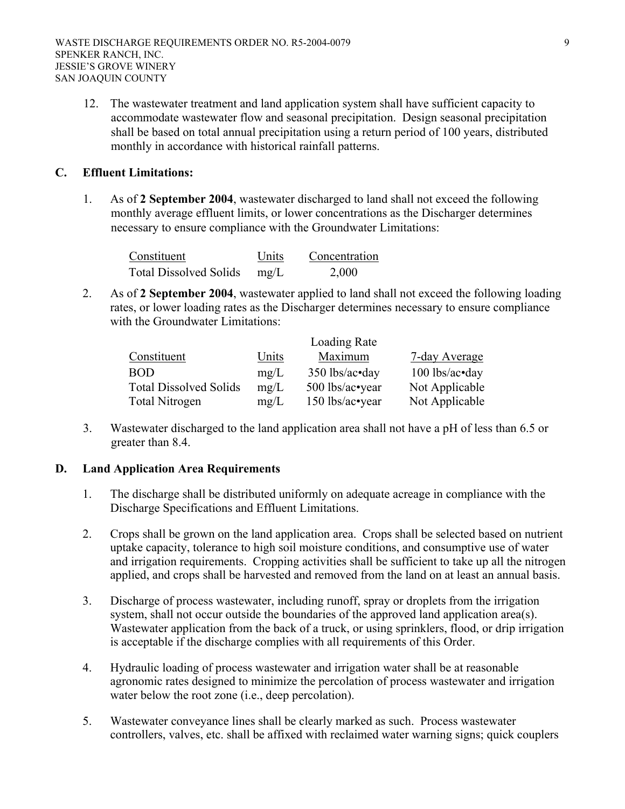12. The wastewater treatment and land application system shall have sufficient capacity to accommodate wastewater flow and seasonal precipitation. Design seasonal precipitation shall be based on total annual precipitation using a return period of 100 years, distributed monthly in accordance with historical rainfall patterns.

#### **C. Effluent Limitations:**

1. As of **2 September 2004**, wastewater discharged to land shall not exceed the following monthly average effluent limits, or lower concentrations as the Discharger determines necessary to ensure compliance with the Groundwater Limitations:

| Constituent                   | Units | Concentration |
|-------------------------------|-------|---------------|
| <b>Total Dissolved Solids</b> | mg/L  | 2,000         |

2. As of **2 September 2004**, wastewater applied to land shall not exceed the following loading rates, or lower loading rates as the Discharger determines necessary to ensure compliance with the Groundwater Limitations:

|                               |       | Loading Rate     |                  |
|-------------------------------|-------|------------------|------------------|
| Constituent                   | Units | Maximum          | 7-day Average    |
| <b>BOD</b>                    | mg/L  | $350$ lbs/ac•day | $100$ lbs/ac•day |
| <b>Total Dissolved Solids</b> | mg/L  | 500 lbs/ac•year  | Not Applicable   |
| <b>Total Nitrogen</b>         | mg/L  | 150 lbs/ac•year  | Not Applicable   |

3. Wastewater discharged to the land application area shall not have a pH of less than 6.5 or greater than 8.4.

# **D. Land Application Area Requirements**

- 1. The discharge shall be distributed uniformly on adequate acreage in compliance with the Discharge Specifications and Effluent Limitations.
- 2. Crops shall be grown on the land application area. Crops shall be selected based on nutrient uptake capacity, tolerance to high soil moisture conditions, and consumptive use of water and irrigation requirements. Cropping activities shall be sufficient to take up all the nitrogen applied, and crops shall be harvested and removed from the land on at least an annual basis.
- 3. Discharge of process wastewater, including runoff, spray or droplets from the irrigation system, shall not occur outside the boundaries of the approved land application area(s). Wastewater application from the back of a truck, or using sprinklers, flood, or drip irrigation is acceptable if the discharge complies with all requirements of this Order.
- 4. Hydraulic loading of process wastewater and irrigation water shall be at reasonable agronomic rates designed to minimize the percolation of process wastewater and irrigation water below the root zone (i.e., deep percolation).
- 5. Wastewater conveyance lines shall be clearly marked as such. Process wastewater controllers, valves, etc. shall be affixed with reclaimed water warning signs; quick couplers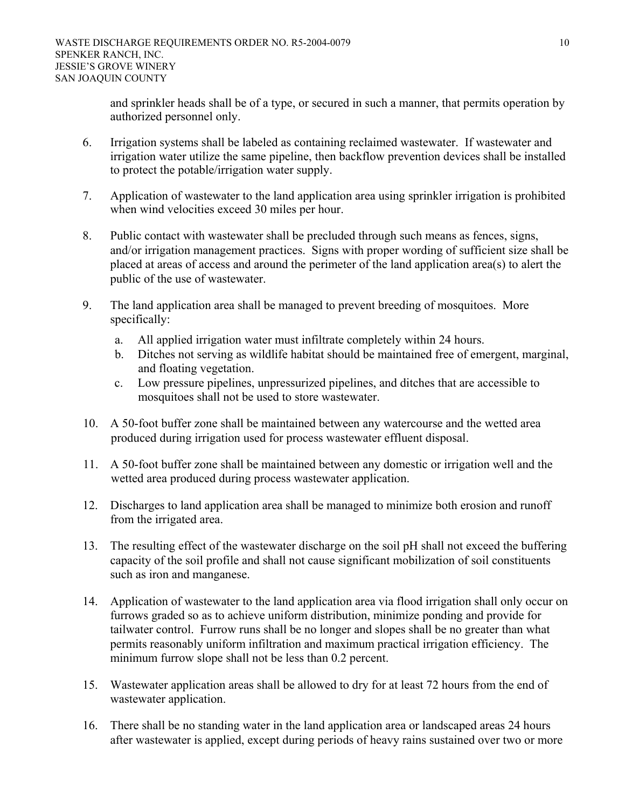and sprinkler heads shall be of a type, or secured in such a manner, that permits operation by authorized personnel only.

- 6. Irrigation systems shall be labeled as containing reclaimed wastewater. If wastewater and irrigation water utilize the same pipeline, then backflow prevention devices shall be installed to protect the potable/irrigation water supply.
- 7. Application of wastewater to the land application area using sprinkler irrigation is prohibited when wind velocities exceed 30 miles per hour.
- 8. Public contact with wastewater shall be precluded through such means as fences, signs, and/or irrigation management practices. Signs with proper wording of sufficient size shall be placed at areas of access and around the perimeter of the land application area(s) to alert the public of the use of wastewater.
- 9. The land application area shall be managed to prevent breeding of mosquitoes. More specifically:
	- a. All applied irrigation water must infiltrate completely within 24 hours.
	- b. Ditches not serving as wildlife habitat should be maintained free of emergent, marginal, and floating vegetation.
	- c. Low pressure pipelines, unpressurized pipelines, and ditches that are accessible to mosquitoes shall not be used to store wastewater.
- 10. A 50-foot buffer zone shall be maintained between any watercourse and the wetted area produced during irrigation used for process wastewater effluent disposal.
- 11. A 50-foot buffer zone shall be maintained between any domestic or irrigation well and the wetted area produced during process wastewater application.
- 12. Discharges to land application area shall be managed to minimize both erosion and runoff from the irrigated area.
- 13. The resulting effect of the wastewater discharge on the soil pH shall not exceed the buffering capacity of the soil profile and shall not cause significant mobilization of soil constituents such as iron and manganese.
- 14. Application of wastewater to the land application area via flood irrigation shall only occur on furrows graded so as to achieve uniform distribution, minimize ponding and provide for tailwater control. Furrow runs shall be no longer and slopes shall be no greater than what permits reasonably uniform infiltration and maximum practical irrigation efficiency. The minimum furrow slope shall not be less than 0.2 percent.
- 15. Wastewater application areas shall be allowed to dry for at least 72 hours from the end of wastewater application.
- 16. There shall be no standing water in the land application area or landscaped areas 24 hours after wastewater is applied, except during periods of heavy rains sustained over two or more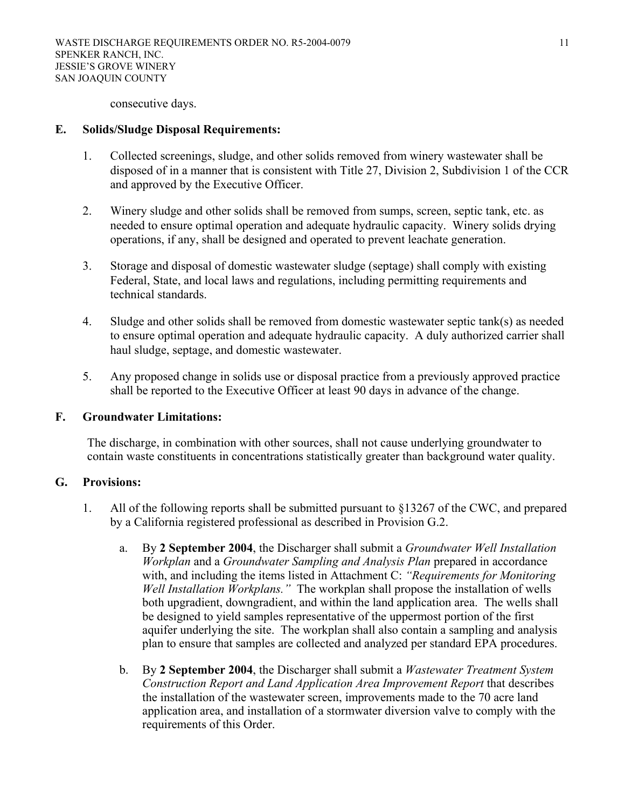consecutive days.

#### **E. Solids/Sludge Disposal Requirements:**

- 1. Collected screenings, sludge, and other solids removed from winery wastewater shall be disposed of in a manner that is consistent with Title 27, Division 2, Subdivision 1 of the CCR and approved by the Executive Officer.
- 2. Winery sludge and other solids shall be removed from sumps, screen, septic tank, etc. as needed to ensure optimal operation and adequate hydraulic capacity. Winery solids drying operations, if any, shall be designed and operated to prevent leachate generation.
- 3. Storage and disposal of domestic wastewater sludge (septage) shall comply with existing Federal, State, and local laws and regulations, including permitting requirements and technical standards.
- 4. Sludge and other solids shall be removed from domestic wastewater septic tank(s) as needed to ensure optimal operation and adequate hydraulic capacity. A duly authorized carrier shall haul sludge, septage, and domestic wastewater.
- 5. Any proposed change in solids use or disposal practice from a previously approved practice shall be reported to the Executive Officer at least 90 days in advance of the change.

#### **F. Groundwater Limitations:**

The discharge, in combination with other sources, shall not cause underlying groundwater to contain waste constituents in concentrations statistically greater than background water quality.

#### **G. Provisions:**

- 1. All of the following reports shall be submitted pursuant to §13267 of the CWC, and prepared by a California registered professional as described in Provision G.2.
	- a. By **2 September 2004**, the Discharger shall submit a *Groundwater Well Installation Workplan* and a *Groundwater Sampling and Analysis Plan* prepared in accordance with, and including the items listed in Attachment C: *"Requirements for Monitoring Well Installation Workplans."* The workplan shall propose the installation of wells both upgradient, downgradient, and within the land application area. The wells shall be designed to yield samples representative of the uppermost portion of the first aquifer underlying the site. The workplan shall also contain a sampling and analysis plan to ensure that samples are collected and analyzed per standard EPA procedures.
	- b. By **2 September 2004**, the Discharger shall submit a *Wastewater Treatment System Construction Report and Land Application Area Improvement Report* that describes the installation of the wastewater screen, improvements made to the 70 acre land application area, and installation of a stormwater diversion valve to comply with the requirements of this Order.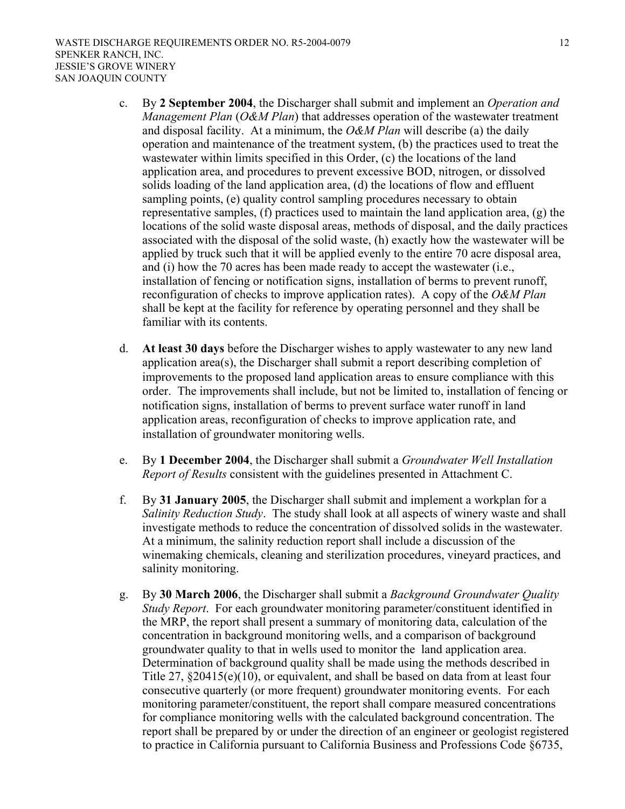- c. By **2 September 2004**, the Discharger shall submit and implement an *Operation and Management Plan* (*O&M Plan*) that addresses operation of the wastewater treatment and disposal facility. At a minimum, the *O&M Plan* will describe (a) the daily operation and maintenance of the treatment system, (b) the practices used to treat the wastewater within limits specified in this Order, (c) the locations of the land application area, and procedures to prevent excessive BOD, nitrogen, or dissolved solids loading of the land application area, (d) the locations of flow and effluent sampling points, (e) quality control sampling procedures necessary to obtain representative samples, (f) practices used to maintain the land application area, (g) the locations of the solid waste disposal areas, methods of disposal, and the daily practices associated with the disposal of the solid waste, (h) exactly how the wastewater will be applied by truck such that it will be applied evenly to the entire 70 acre disposal area, and (i) how the 70 acres has been made ready to accept the wastewater (i.e., installation of fencing or notification signs, installation of berms to prevent runoff, reconfiguration of checks to improve application rates). A copy of the *O&M Plan* shall be kept at the facility for reference by operating personnel and they shall be familiar with its contents.
- d. **At least 30 days** before the Discharger wishes to apply wastewater to any new land application area(s), the Discharger shall submit a report describing completion of improvements to the proposed land application areas to ensure compliance with this order. The improvements shall include, but not be limited to, installation of fencing or notification signs, installation of berms to prevent surface water runoff in land application areas, reconfiguration of checks to improve application rate, and installation of groundwater monitoring wells.
- e. By **1 December 2004**, the Discharger shall submit a *Groundwater Well Installation Report of Results* consistent with the guidelines presented in Attachment C.
- f. By **31 January 2005**, the Discharger shall submit and implement a workplan for a *Salinity Reduction Study*. The study shall look at all aspects of winery waste and shall investigate methods to reduce the concentration of dissolved solids in the wastewater. At a minimum, the salinity reduction report shall include a discussion of the winemaking chemicals, cleaning and sterilization procedures, vineyard practices, and salinity monitoring.
- g. By **30 March 2006**, the Discharger shall submit a *Background Groundwater Quality Study Report*. For each groundwater monitoring parameter/constituent identified in the MRP, the report shall present a summary of monitoring data, calculation of the concentration in background monitoring wells, and a comparison of background groundwater quality to that in wells used to monitor the land application area. Determination of background quality shall be made using the methods described in Title 27, §20415(e)(10), or equivalent, and shall be based on data from at least four consecutive quarterly (or more frequent) groundwater monitoring events. For each monitoring parameter/constituent, the report shall compare measured concentrations for compliance monitoring wells with the calculated background concentration. The report shall be prepared by or under the direction of an engineer or geologist registered to practice in California pursuant to California Business and Professions Code §6735,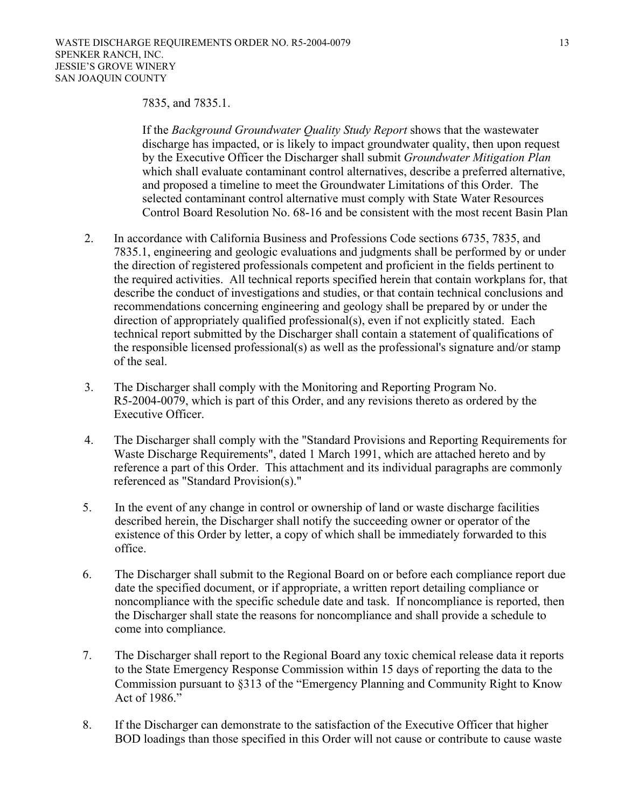#### 7835, and 7835.1.

If the *Background Groundwater Quality Study Report* shows that the wastewater discharge has impacted, or is likely to impact groundwater quality, then upon request by the Executive Officer the Discharger shall submit *Groundwater Mitigation Plan* which shall evaluate contaminant control alternatives, describe a preferred alternative, and proposed a timeline to meet the Groundwater Limitations of this Order. The selected contaminant control alternative must comply with State Water Resources Control Board Resolution No. 68-16 and be consistent with the most recent Basin Plan

- 2. In accordance with California Business and Professions Code sections 6735, 7835, and 7835.1, engineering and geologic evaluations and judgments shall be performed by or under the direction of registered professionals competent and proficient in the fields pertinent to the required activities. All technical reports specified herein that contain workplans for, that describe the conduct of investigations and studies, or that contain technical conclusions and recommendations concerning engineering and geology shall be prepared by or under the direction of appropriately qualified professional(s), even if not explicitly stated. Each technical report submitted by the Discharger shall contain a statement of qualifications of the responsible licensed professional(s) as well as the professional's signature and/or stamp of the seal.
- 3. The Discharger shall comply with the Monitoring and Reporting Program No. R5-2004-0079, which is part of this Order, and any revisions thereto as ordered by the Executive Officer.
- 4. The Discharger shall comply with the "Standard Provisions and Reporting Requirements for Waste Discharge Requirements", dated 1 March 1991, which are attached hereto and by reference a part of this Order. This attachment and its individual paragraphs are commonly referenced as "Standard Provision(s)."
- 5. In the event of any change in control or ownership of land or waste discharge facilities described herein, the Discharger shall notify the succeeding owner or operator of the existence of this Order by letter, a copy of which shall be immediately forwarded to this office.
- 6. The Discharger shall submit to the Regional Board on or before each compliance report due date the specified document, or if appropriate, a written report detailing compliance or noncompliance with the specific schedule date and task. If noncompliance is reported, then the Discharger shall state the reasons for noncompliance and shall provide a schedule to come into compliance.
- 7. The Discharger shall report to the Regional Board any toxic chemical release data it reports to the State Emergency Response Commission within 15 days of reporting the data to the Commission pursuant to §313 of the "Emergency Planning and Community Right to Know Act of 1986."
- 8. If the Discharger can demonstrate to the satisfaction of the Executive Officer that higher BOD loadings than those specified in this Order will not cause or contribute to cause waste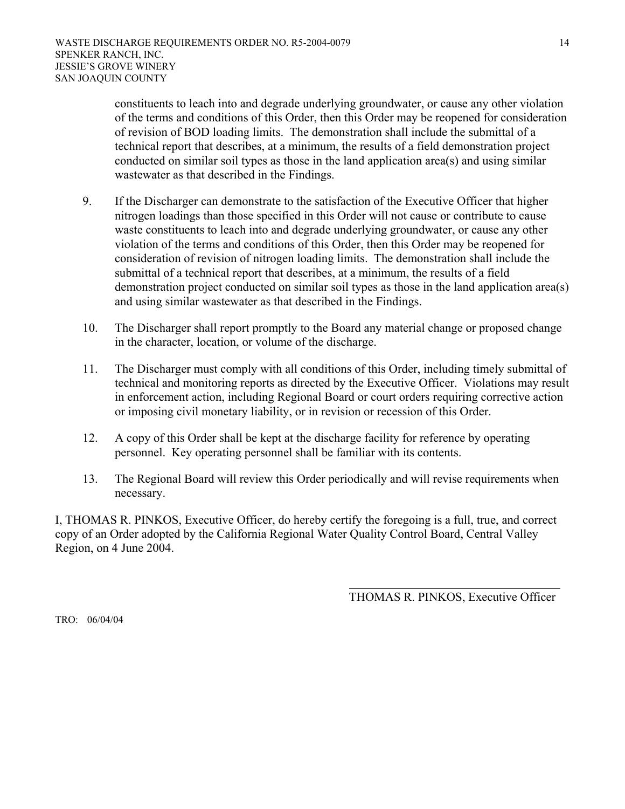constituents to leach into and degrade underlying groundwater, or cause any other violation of the terms and conditions of this Order, then this Order may be reopened for consideration of revision of BOD loading limits. The demonstration shall include the submittal of a technical report that describes, at a minimum, the results of a field demonstration project conducted on similar soil types as those in the land application area(s) and using similar wastewater as that described in the Findings.

- 9. If the Discharger can demonstrate to the satisfaction of the Executive Officer that higher nitrogen loadings than those specified in this Order will not cause or contribute to cause waste constituents to leach into and degrade underlying groundwater, or cause any other violation of the terms and conditions of this Order, then this Order may be reopened for consideration of revision of nitrogen loading limits. The demonstration shall include the submittal of a technical report that describes, at a minimum, the results of a field demonstration project conducted on similar soil types as those in the land application area(s) and using similar wastewater as that described in the Findings.
- 10. The Discharger shall report promptly to the Board any material change or proposed change in the character, location, or volume of the discharge.
- 11. The Discharger must comply with all conditions of this Order, including timely submittal of technical and monitoring reports as directed by the Executive Officer. Violations may result in enforcement action, including Regional Board or court orders requiring corrective action or imposing civil monetary liability, or in revision or recession of this Order.
- 12. A copy of this Order shall be kept at the discharge facility for reference by operating personnel. Key operating personnel shall be familiar with its contents.
- 13. The Regional Board will review this Order periodically and will revise requirements when necessary.

I, THOMAS R. PINKOS, Executive Officer, do hereby certify the foregoing is a full, true, and correct copy of an Order adopted by the California Regional Water Quality Control Board, Central Valley Region, on 4 June 2004.

THOMAS R. PINKOS, Executive Officer

TRO: 06/04/04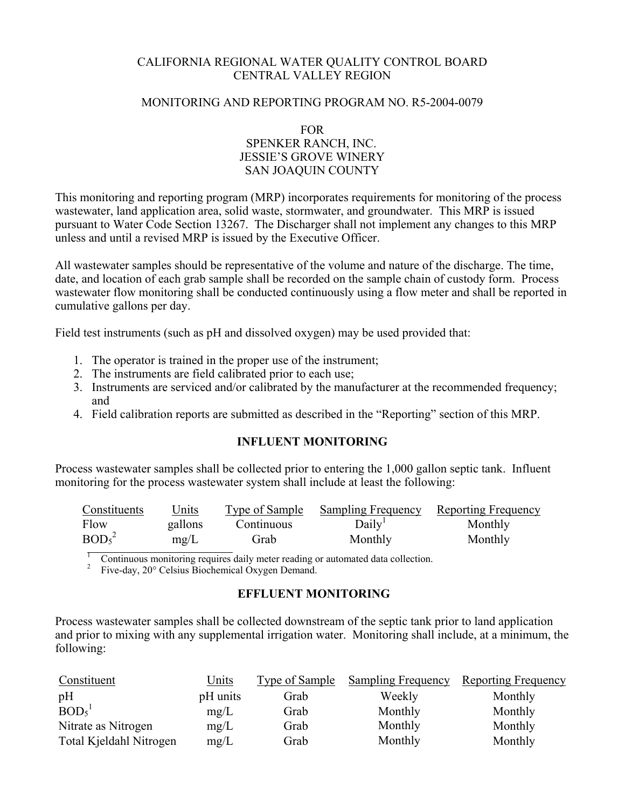## CALIFORNIA REGIONAL WATER QUALITY CONTROL BOARD CENTRAL VALLEY REGION

#### MONITORING AND REPORTING PROGRAM NO. R5-2004-0079

FOR SPENKER RANCH, INC. JESSIE'S GROVE WINERY SAN JOAQUIN COUNTY

This monitoring and reporting program (MRP) incorporates requirements for monitoring of the process wastewater, land application area, solid waste, stormwater, and groundwater. This MRP is issued pursuant to Water Code Section 13267. The Discharger shall not implement any changes to this MRP unless and until a revised MRP is issued by the Executive Officer.

All wastewater samples should be representative of the volume and nature of the discharge. The time, date, and location of each grab sample shall be recorded on the sample chain of custody form. Process wastewater flow monitoring shall be conducted continuously using a flow meter and shall be reported in cumulative gallons per day.

Field test instruments (such as pH and dissolved oxygen) may be used provided that:

- 1. The operator is trained in the proper use of the instrument;
- 2. The instruments are field calibrated prior to each use;
- 3. Instruments are serviced and/or calibrated by the manufacturer at the recommended frequency; and
- 4. Field calibration reports are submitted as described in the "Reporting" section of this MRP.

#### **INFLUENT MONITORING**

Process wastewater samples shall be collected prior to entering the 1,000 gallon septic tank. Influent monitoring for the process wastewater system shall include at least the following:

| Constituents                  | <u>Units</u> | <b>Type of Sample</b> | <b>Sampling Frequency</b> Reporting Frequency |         |
|-------------------------------|--------------|-----------------------|-----------------------------------------------|---------|
| Flow                          | gallons      | Continuous            | Daily <sup>1</sup>                            | Monthly |
| BOD <sub>5</sub> <sup>2</sup> | mg/L         | Grab                  | Monthly                                       | Monthly |

1 Continuous monitoring requires daily meter reading or automated data collection.

<sup>2</sup> Five-day, 20° Celsius Biochemical Oxygen Demand.

#### **EFFLUENT MONITORING**

Process wastewater samples shall be collected downstream of the septic tank prior to land application and prior to mixing with any supplemental irrigation water. Monitoring shall include, at a minimum, the following:

| Constituent             | Units    | Type of Sample | <b>Sampling Frequency</b> | <b>Reporting Frequency</b> |
|-------------------------|----------|----------------|---------------------------|----------------------------|
| pH                      | pH units | Grab           | Weekly                    | Monthly                    |
| BOD <sub>5</sub>        | mg/L     | Grab           | Monthly                   | Monthly                    |
| Nitrate as Nitrogen     | mg/L     | Grab           | Monthly                   | Monthly                    |
| Total Kjeldahl Nitrogen | mg/L     | Grab           | Monthly                   | Monthly                    |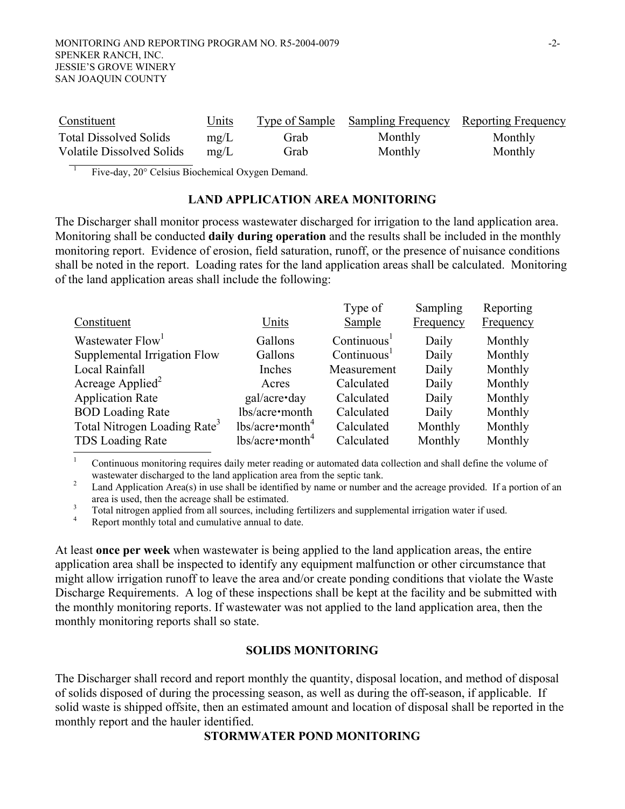| Constituent                   | <u>Units</u> | Type of Sample | <b>Sampling Frequency</b> Reporting Frequency |         |
|-------------------------------|--------------|----------------|-----------------------------------------------|---------|
| <b>Total Dissolved Solids</b> | mg/L         | Grab           | Monthly                                       | Monthly |
| Volatile Dissolved Solids     | mg/L         | Grab           | Monthly                                       | Monthly |

1 Five-day, 20° Celsius Biochemical Oxygen Demand.

#### **LAND APPLICATION AREA MONITORING**

The Discharger shall monitor process wastewater discharged for irrigation to the land application area. Monitoring shall be conducted **daily during operation** and the results shall be included in the monthly monitoring report. Evidence of erosion, field saturation, runoff, or the presence of nuisance conditions shall be noted in the report. Loading rates for the land application areas shall be calculated. Monitoring of the land application areas shall include the following:

|                                          |                       | Type of                 | Sampling  | Reporting |
|------------------------------------------|-----------------------|-------------------------|-----------|-----------|
| Constituent                              | Units                 | Sample                  | Frequency | Frequency |
| Wastewater Flow <sup>1</sup>             | Gallons               | Continuous <sup>1</sup> | Daily     | Monthly   |
| Supplemental Irrigation Flow             | Gallons               | Continuous <sup>1</sup> | Daily     | Monthly   |
| Local Rainfall                           | Inches                | Measurement             | Daily     | Monthly   |
| Acreage Applied <sup>2</sup>             | Acres                 | Calculated              | Daily     | Monthly   |
| <b>Application Rate</b>                  | gal/acre•day          | Calculated              | Daily     | Monthly   |
| <b>BOD</b> Loading Rate                  | lbs/acre•month        | Calculated              | Daily     | Monthly   |
| Total Nitrogen Loading Rate <sup>3</sup> | lbs/acre <sup>4</sup> | Calculated              | Monthly   | Monthly   |
| <b>TDS</b> Loading Rate                  | lbs/acre <sup>4</sup> | Calculated              | Monthly   | Monthly   |

1 Continuous monitoring requires daily meter reading or automated data collection and shall define the volume of wastewater discharged to the land application area from the septic tank.

 Land Application Area(s) in use shall be identified by name or number and the acreage provided. If a portion of an area is used, then the acreage shall be estimated. 3

 $\frac{3}{4}$  Total nitrogen applied from all sources, including fertilizers and supplemental irrigation water if used.

Report monthly total and cumulative annual to date.

At least **once per week** when wastewater is being applied to the land application areas, the entire application area shall be inspected to identify any equipment malfunction or other circumstance that might allow irrigation runoff to leave the area and/or create ponding conditions that violate the Waste Discharge Requirements. A log of these inspections shall be kept at the facility and be submitted with the monthly monitoring reports. If wastewater was not applied to the land application area, then the monthly monitoring reports shall so state.

#### **SOLIDS MONITORING**

The Discharger shall record and report monthly the quantity, disposal location, and method of disposal of solids disposed of during the processing season, as well as during the off-season, if applicable. If solid waste is shipped offsite, then an estimated amount and location of disposal shall be reported in the monthly report and the hauler identified.

# **STORMWATER POND MONITORING**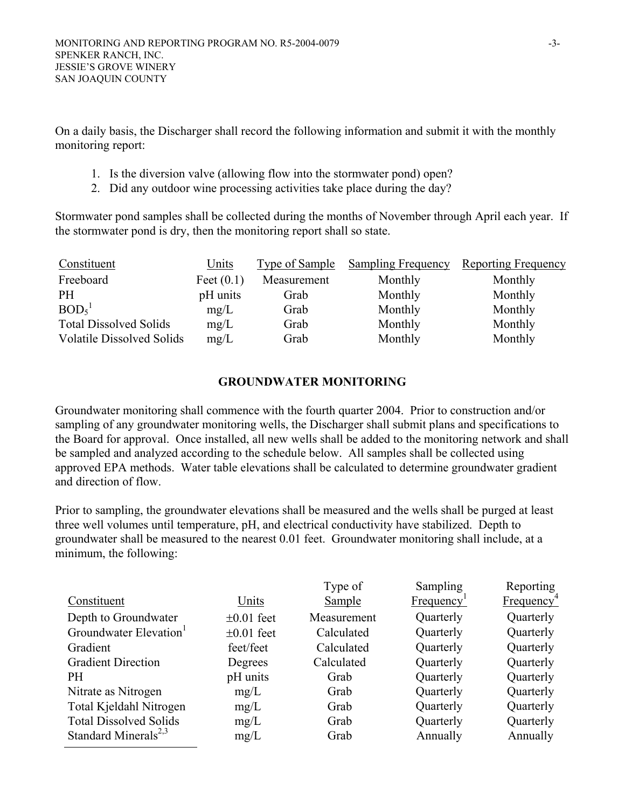On a daily basis, the Discharger shall record the following information and submit it with the monthly monitoring report:

- 1. Is the diversion valve (allowing flow into the stormwater pond) open?
- 2. Did any outdoor wine processing activities take place during the day?

Stormwater pond samples shall be collected during the months of November through April each year. If the stormwater pond is dry, then the monitoring report shall so state.

| Constituent                      | Units        | Type of Sample | <b>Sampling Frequency</b> | <b>Reporting Frequency</b> |
|----------------------------------|--------------|----------------|---------------------------|----------------------------|
| Freeboard                        | Feet $(0.1)$ | Measurement    | Monthly                   | Monthly                    |
| <b>PH</b>                        | pH units     | Grab           | Monthly                   | Monthly                    |
| BOD <sub>5</sub> <sup>1</sup>    | mg/L         | Grab           | Monthly                   | Monthly                    |
| <b>Total Dissolved Solids</b>    | mg/L         | Grab           | Monthly                   | Monthly                    |
| <b>Volatile Dissolved Solids</b> | mg/L         | Grab           | Monthly                   | Monthly                    |

# **GROUNDWATER MONITORING**

Groundwater monitoring shall commence with the fourth quarter 2004. Prior to construction and/or sampling of any groundwater monitoring wells, the Discharger shall submit plans and specifications to the Board for approval. Once installed, all new wells shall be added to the monitoring network and shall be sampled and analyzed according to the schedule below. All samples shall be collected using approved EPA methods. Water table elevations shall be calculated to determine groundwater gradient and direction of flow.

Prior to sampling, the groundwater elevations shall be measured and the wells shall be purged at least three well volumes until temperature, pH, and electrical conductivity have stabilized. Depth to groundwater shall be measured to the nearest 0.01 feet. Groundwater monitoring shall include, at a minimum, the following:

|                 | Type of     | Sampling               | Reporting              |
|-----------------|-------------|------------------------|------------------------|
| Units           | Sample      | Frequency <sup>1</sup> | Frequency <sup>4</sup> |
| $\pm 0.01$ feet | Measurement | Quarterly              | Quarterly              |
| $\pm 0.01$ feet | Calculated  | Quarterly              | Quarterly              |
| feet/feet       | Calculated  | Quarterly              | Quarterly              |
| Degrees         | Calculated  | Quarterly              | Quarterly              |
| pH units        | Grab        | Quarterly              | Quarterly              |
| mg/L            | Grab        | Quarterly              | Quarterly              |
| mg/L            | Grab        | Quarterly              | Quarterly              |
| mg/L            | Grab        | Quarterly              | Quarterly              |
| mg/L            | Grab        | Annually               | Annually               |
|                 |             |                        |                        |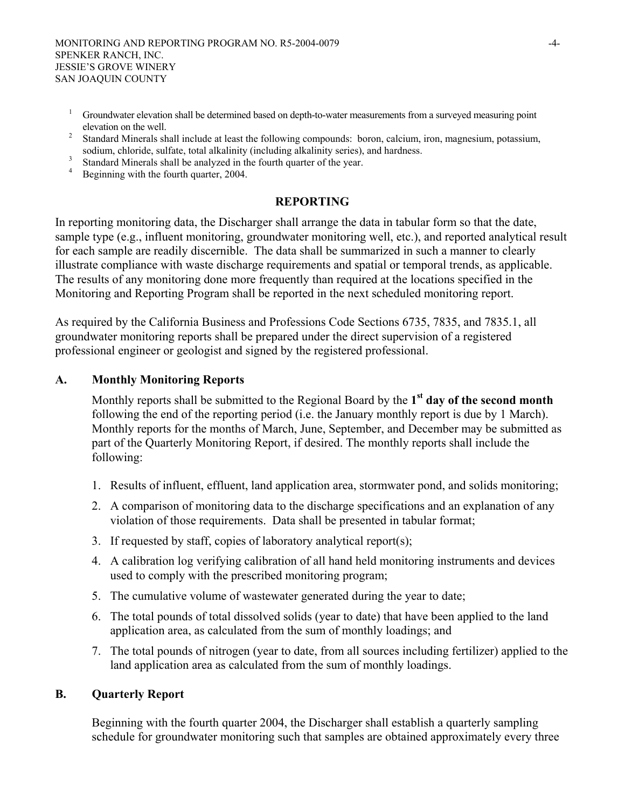- 1 Groundwater elevation shall be determined based on depth-to-water measurements from a surveyed measuring point elevation on the well.<br> $\frac{2}{5}$  Standard Minorals at
- Standard Minerals shall include at least the following compounds: boron, calcium, iron, magnesium, potassium, sodium, chloride, sulfate, total alkalinity (including alkalinity series), and hardness.<br>3 Standard Minorals shall be analyzed in the fourth querter of the year.
- Standard Minerals shall be analyzed in the fourth quarter of the year. <sup>4</sup>
- <sup>4</sup> Beginning with the fourth quarter, 2004.

#### **REPORTING**

In reporting monitoring data, the Discharger shall arrange the data in tabular form so that the date, sample type (e.g., influent monitoring, groundwater monitoring well, etc.), and reported analytical result for each sample are readily discernible. The data shall be summarized in such a manner to clearly illustrate compliance with waste discharge requirements and spatial or temporal trends, as applicable. The results of any monitoring done more frequently than required at the locations specified in the Monitoring and Reporting Program shall be reported in the next scheduled monitoring report.

As required by the California Business and Professions Code Sections 6735, 7835, and 7835.1, all groundwater monitoring reports shall be prepared under the direct supervision of a registered professional engineer or geologist and signed by the registered professional.

#### **A. Monthly Monitoring Reports**

Monthly reports shall be submitted to the Regional Board by the **1st day of the second month** following the end of the reporting period (i.e. the January monthly report is due by 1 March). Monthly reports for the months of March, June, September, and December may be submitted as part of the Quarterly Monitoring Report, if desired. The monthly reports shall include the following:

- 1. Results of influent, effluent, land application area, stormwater pond, and solids monitoring;
- 2. A comparison of monitoring data to the discharge specifications and an explanation of any violation of those requirements. Data shall be presented in tabular format;
- 3. If requested by staff, copies of laboratory analytical report(s);
- 4. A calibration log verifying calibration of all hand held monitoring instruments and devices used to comply with the prescribed monitoring program;
- 5. The cumulative volume of wastewater generated during the year to date;
- 6. The total pounds of total dissolved solids (year to date) that have been applied to the land application area, as calculated from the sum of monthly loadings; and
- 7. The total pounds of nitrogen (year to date, from all sources including fertilizer) applied to the land application area as calculated from the sum of monthly loadings.

#### **B. Quarterly Report**

Beginning with the fourth quarter 2004, the Discharger shall establish a quarterly sampling schedule for groundwater monitoring such that samples are obtained approximately every three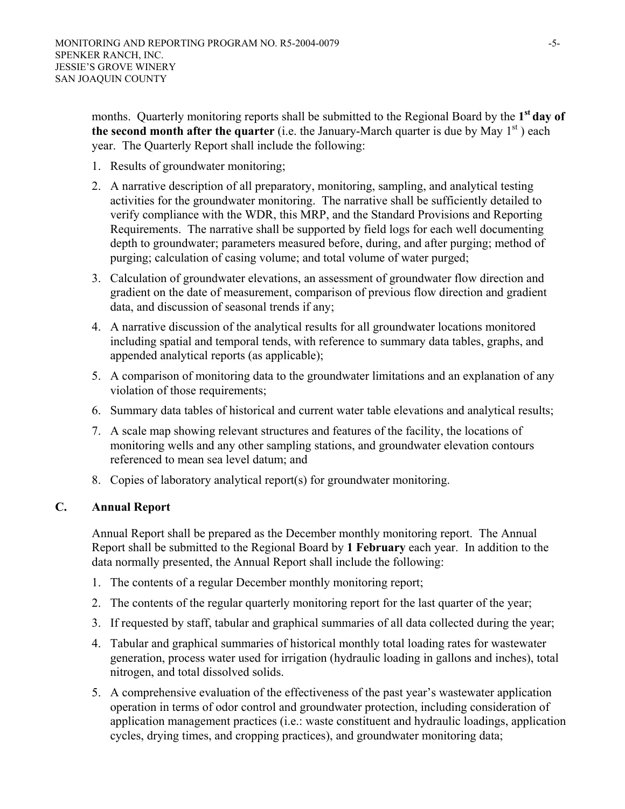months. Quarterly monitoring reports shall be submitted to the Regional Board by the 1<sup>st</sup> day of **the second month after the quarter** (i.e. the January-March quarter is due by May  $1<sup>st</sup>$ ) each year.The Quarterly Report shall include the following:

- 1. Results of groundwater monitoring;
- 2. A narrative description of all preparatory, monitoring, sampling, and analytical testing activities for the groundwater monitoring. The narrative shall be sufficiently detailed to verify compliance with the WDR, this MRP, and the Standard Provisions and Reporting Requirements. The narrative shall be supported by field logs for each well documenting depth to groundwater; parameters measured before, during, and after purging; method of purging; calculation of casing volume; and total volume of water purged;
- 3. Calculation of groundwater elevations, an assessment of groundwater flow direction and gradient on the date of measurement, comparison of previous flow direction and gradient data, and discussion of seasonal trends if any;
- 4. A narrative discussion of the analytical results for all groundwater locations monitored including spatial and temporal tends, with reference to summary data tables, graphs, and appended analytical reports (as applicable);
- 5. A comparison of monitoring data to the groundwater limitations and an explanation of any violation of those requirements;
- 6. Summary data tables of historical and current water table elevations and analytical results;
- 7. A scale map showing relevant structures and features of the facility, the locations of monitoring wells and any other sampling stations, and groundwater elevation contours referenced to mean sea level datum; and
- 8. Copies of laboratory analytical report(s) for groundwater monitoring.

# **C. Annual Report**

Annual Report shall be prepared as the December monthly monitoring report. The Annual Report shall be submitted to the Regional Board by **1 February** each year. In addition to the data normally presented, the Annual Report shall include the following:

- 1. The contents of a regular December monthly monitoring report;
- 2. The contents of the regular quarterly monitoring report for the last quarter of the year;
- 3. If requested by staff, tabular and graphical summaries of all data collected during the year;
- 4. Tabular and graphical summaries of historical monthly total loading rates for wastewater generation, process water used for irrigation (hydraulic loading in gallons and inches), total nitrogen, and total dissolved solids.
- 5. A comprehensive evaluation of the effectiveness of the past year's wastewater application operation in terms of odor control and groundwater protection, including consideration of application management practices (i.e.: waste constituent and hydraulic loadings, application cycles, drying times, and cropping practices), and groundwater monitoring data;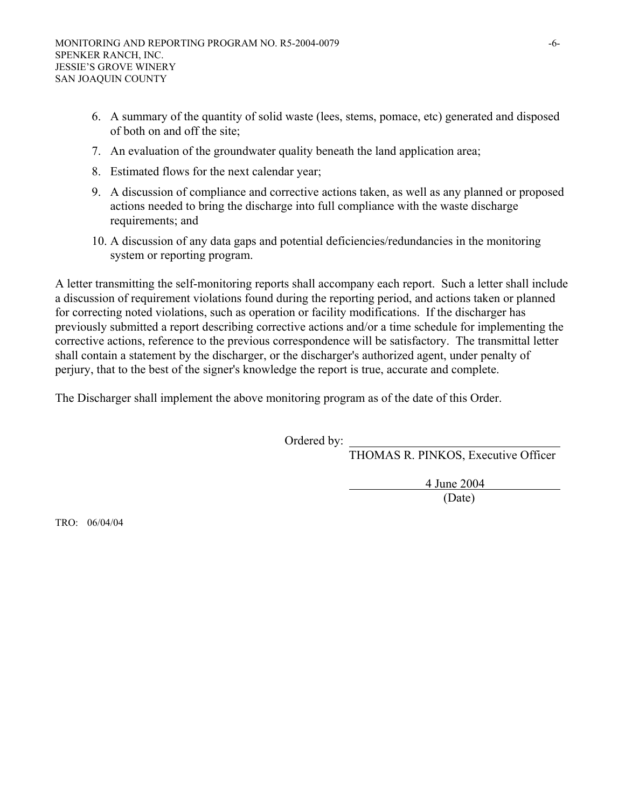- 6. A summary of the quantity of solid waste (lees, stems, pomace, etc) generated and disposed of both on and off the site;
- 7. An evaluation of the groundwater quality beneath the land application area;
- 8. Estimated flows for the next calendar year;
- 9. A discussion of compliance and corrective actions taken, as well as any planned or proposed actions needed to bring the discharge into full compliance with the waste discharge requirements; and
- 10. A discussion of any data gaps and potential deficiencies/redundancies in the monitoring system or reporting program.

A letter transmitting the self-monitoring reports shall accompany each report. Such a letter shall include a discussion of requirement violations found during the reporting period, and actions taken or planned for correcting noted violations, such as operation or facility modifications. If the discharger has previously submitted a report describing corrective actions and/or a time schedule for implementing the corrective actions, reference to the previous correspondence will be satisfactory. The transmittal letter shall contain a statement by the discharger, or the discharger's authorized agent, under penalty of perjury, that to the best of the signer's knowledge the report is true, accurate and complete.

The Discharger shall implement the above monitoring program as of the date of this Order.

Ordered by: \_

THOMAS R. PINKOS, Executive Officer

4 June 2004

(Date)

TRO: 06/04/04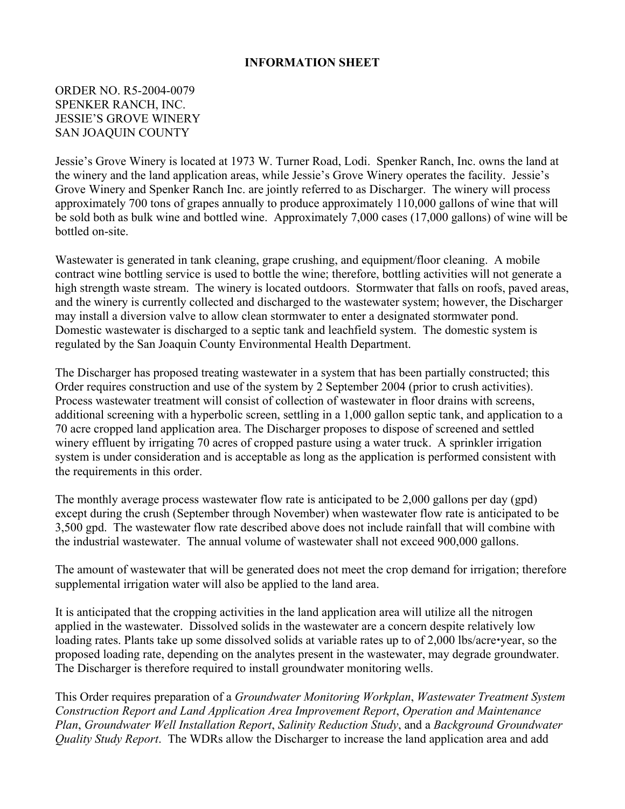## **INFORMATION SHEET**

## ORDER NO. R5-2004-0079 SPENKER RANCH, INC. JESSIE'S GROVE WINERY SAN JOAQUIN COUNTY

Jessie's Grove Winery is located at 1973 W. Turner Road, Lodi. Spenker Ranch, Inc. owns the land at the winery and the land application areas, while Jessie's Grove Winery operates the facility. Jessie's Grove Winery and Spenker Ranch Inc. are jointly referred to as Discharger. The winery will process approximately 700 tons of grapes annually to produce approximately 110,000 gallons of wine that will be sold both as bulk wine and bottled wine. Approximately 7,000 cases (17,000 gallons) of wine will be bottled on-site.

Wastewater is generated in tank cleaning, grape crushing, and equipment/floor cleaning. A mobile contract wine bottling service is used to bottle the wine; therefore, bottling activities will not generate a high strength waste stream. The winery is located outdoors. Stormwater that falls on roofs, paved areas, and the winery is currently collected and discharged to the wastewater system; however, the Discharger may install a diversion valve to allow clean stormwater to enter a designated stormwater pond. Domestic wastewater is discharged to a septic tank and leachfield system. The domestic system is regulated by the San Joaquin County Environmental Health Department.

The Discharger has proposed treating wastewater in a system that has been partially constructed; this Order requires construction and use of the system by 2 September 2004 (prior to crush activities). Process wastewater treatment will consist of collection of wastewater in floor drains with screens, additional screening with a hyperbolic screen, settling in a 1,000 gallon septic tank, and application to a 70 acre cropped land application area. The Discharger proposes to dispose of screened and settled winery effluent by irrigating 70 acres of cropped pasture using a water truck. A sprinkler irrigation system is under consideration and is acceptable as long as the application is performed consistent with the requirements in this order.

The monthly average process wastewater flow rate is anticipated to be 2,000 gallons per day (gpd) except during the crush (September through November) when wastewater flow rate is anticipated to be 3,500 gpd. The wastewater flow rate described above does not include rainfall that will combine with the industrial wastewater. The annual volume of wastewater shall not exceed 900,000 gallons.

The amount of wastewater that will be generated does not meet the crop demand for irrigation; therefore supplemental irrigation water will also be applied to the land area.

It is anticipated that the cropping activities in the land application area will utilize all the nitrogen applied in the wastewater. Dissolved solids in the wastewater are a concern despite relatively low loading rates. Plants take up some dissolved solids at variable rates up to of 2,000 lbs/acre•year, so the proposed loading rate, depending on the analytes present in the wastewater, may degrade groundwater. The Discharger is therefore required to install groundwater monitoring wells.

This Order requires preparation of a *Groundwater Monitoring Workplan*, *Wastewater Treatment System Construction Report and Land Application Area Improvement Report*, *Operation and Maintenance Plan*, *Groundwater Well Installation Report*, *Salinity Reduction Study*, and a *Background Groundwater Quality Study Report*. The WDRs allow the Discharger to increase the land application area and add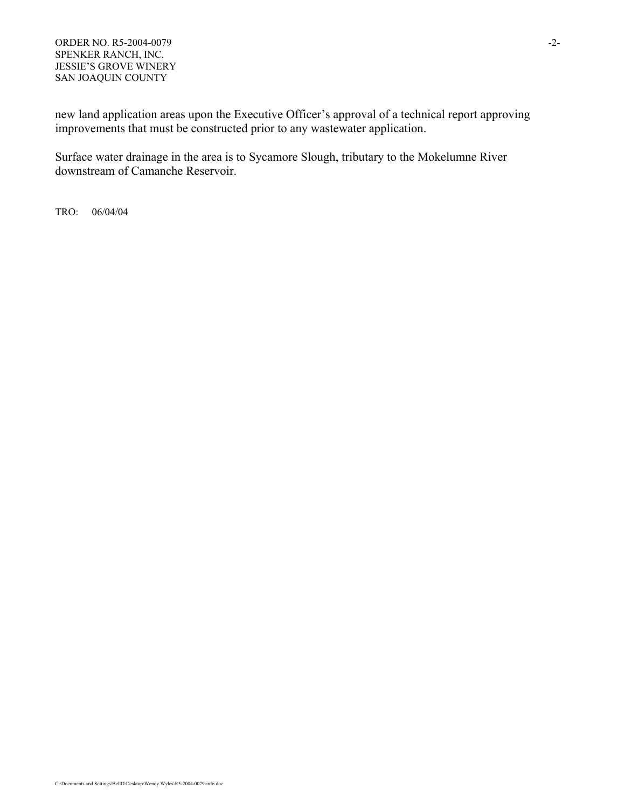new land application areas upon the Executive Officer's approval of a technical report approving improvements that must be constructed prior to any wastewater application.

Surface water drainage in the area is to Sycamore Slough, tributary to the Mokelumne River downstream of Camanche Reservoir.

TRO: 06/04/04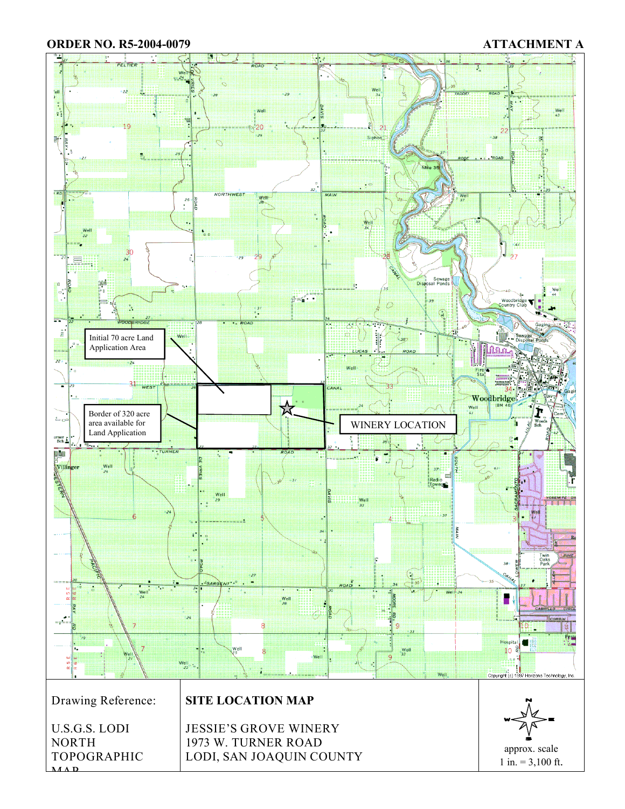#### **ORDER NO. R5-2004-0079 ATTACHMENT A**

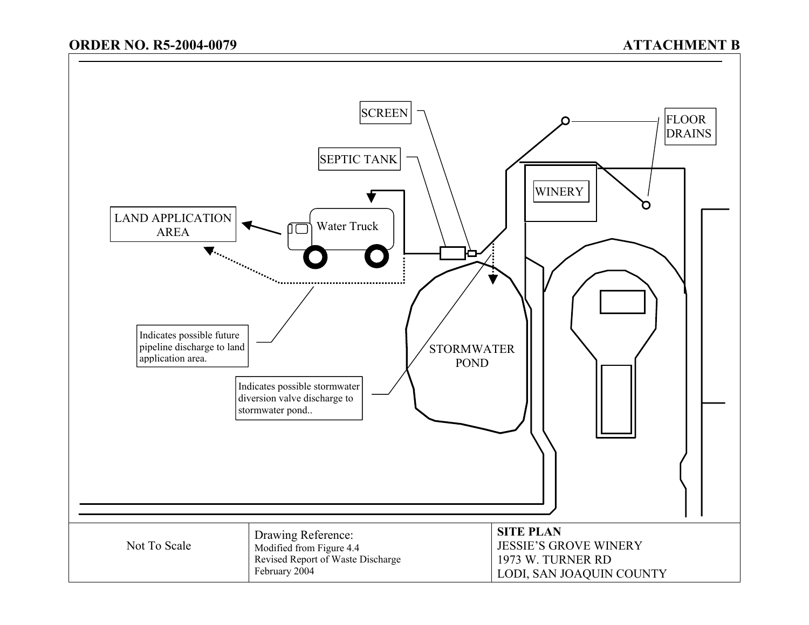# **ORDER NO. R5-2004-0079**

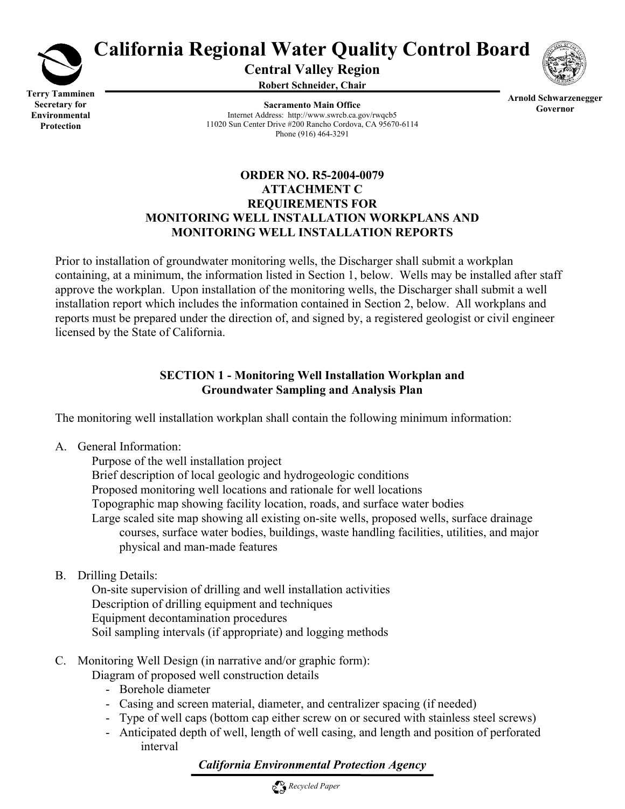

# **California Regional Water Quality Control Board**

**Central Valley Region** 

**Robert Schneider, Chair**



**Terry Tamminen Secretary for Environmental Protection** 

**Sacramento Main Office** Internet Address: http://www.swrcb.ca.gov/rwqcb5 11020 Sun Center Drive #200 Rancho Cordova, CA 95670-6114 Phone (916) 464-3291

**Arnold Schwarzenegger Governor** 

# **ORDER NO. R5-2004-0079 ATTACHMENT C REQUIREMENTS FOR MONITORING WELL INSTALLATION WORKPLANS AND MONITORING WELL INSTALLATION REPORTS**

Prior to installation of groundwater monitoring wells, the Discharger shall submit a workplan containing, at a minimum, the information listed in Section 1, below. Wells may be installed after staff approve the workplan. Upon installation of the monitoring wells, the Discharger shall submit a well installation report which includes the information contained in Section 2, below. All workplans and reports must be prepared under the direction of, and signed by, a registered geologist or civil engineer licensed by the State of California.

# **SECTION 1 - Monitoring Well Installation Workplan and Groundwater Sampling and Analysis Plan**

The monitoring well installation workplan shall contain the following minimum information:

A. General Information:

 Purpose of the well installation project Brief description of local geologic and hydrogeologic conditions Proposed monitoring well locations and rationale for well locations Topographic map showing facility location, roads, and surface water bodies Large scaled site map showing all existing on-site wells, proposed wells, surface drainage courses, surface water bodies, buildings, waste handling facilities, utilities, and major physical and man-made features

B. Drilling Details:

 On-site supervision of drilling and well installation activities Description of drilling equipment and techniques Equipment decontamination procedures Soil sampling intervals (if appropriate) and logging methods

C. Monitoring Well Design (in narrative and/or graphic form):

Diagram of proposed well construction details

- Borehole diameter
- Casing and screen material, diameter, and centralizer spacing (if needed)
- Type of well caps (bottom cap either screw on or secured with stainless steel screws)
- Anticipated depth of well, length of well casing, and length and position of perforated interval

# *California Environmental Protection Agency*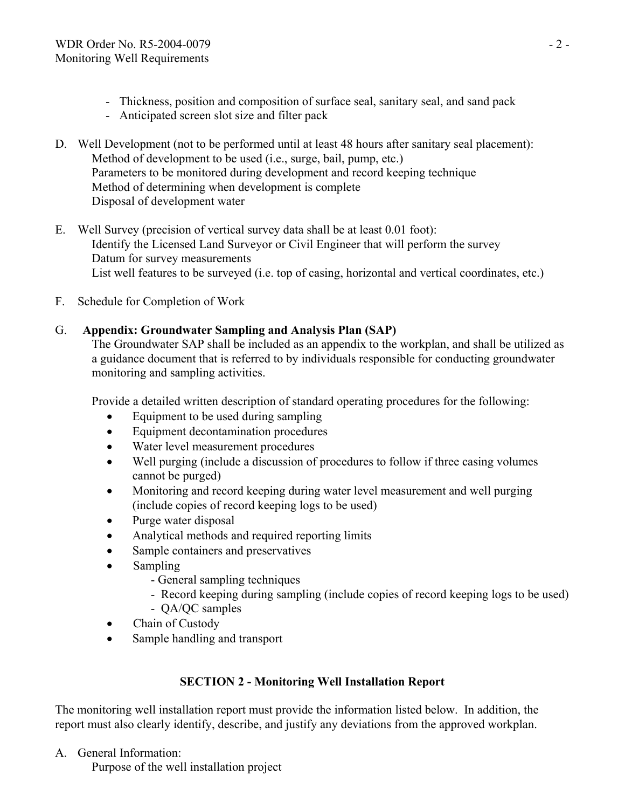- Thickness, position and composition of surface seal, sanitary seal, and sand pack
- Anticipated screen slot size and filter pack
- D. Well Development (not to be performed until at least 48 hours after sanitary seal placement): Method of development to be used (i.e., surge, bail, pump, etc.) Parameters to be monitored during development and record keeping technique Method of determining when development is complete Disposal of development water
- E. Well Survey (precision of vertical survey data shall be at least 0.01 foot): Identify the Licensed Land Surveyor or Civil Engineer that will perform the survey Datum for survey measurements List well features to be surveyed (i.e. top of casing, horizontal and vertical coordinates, etc.)
- F. Schedule for Completion of Work

# G. **Appendix: Groundwater Sampling and Analysis Plan (SAP)**

The Groundwater SAP shall be included as an appendix to the workplan, and shall be utilized as a guidance document that is referred to by individuals responsible for conducting groundwater monitoring and sampling activities.

Provide a detailed written description of standard operating procedures for the following:

- Equipment to be used during sampling
- Equipment decontamination procedures
- Water level measurement procedures
- Well purging (include a discussion of procedures to follow if three casing volumes cannot be purged)
- Monitoring and record keeping during water level measurement and well purging (include copies of record keeping logs to be used)
- Purge water disposal
- Analytical methods and required reporting limits
- Sample containers and preservatives
- Sampling
	- General sampling techniques
	- Record keeping during sampling (include copies of record keeping logs to be used) - QA/QC samples
	-
- Chain of Custody
- Sample handling and transport

# **SECTION 2 - Monitoring Well Installation Report**

The monitoring well installation report must provide the information listed below. In addition, the report must also clearly identify, describe, and justify any deviations from the approved workplan.

A. General Information:

Purpose of the well installation project